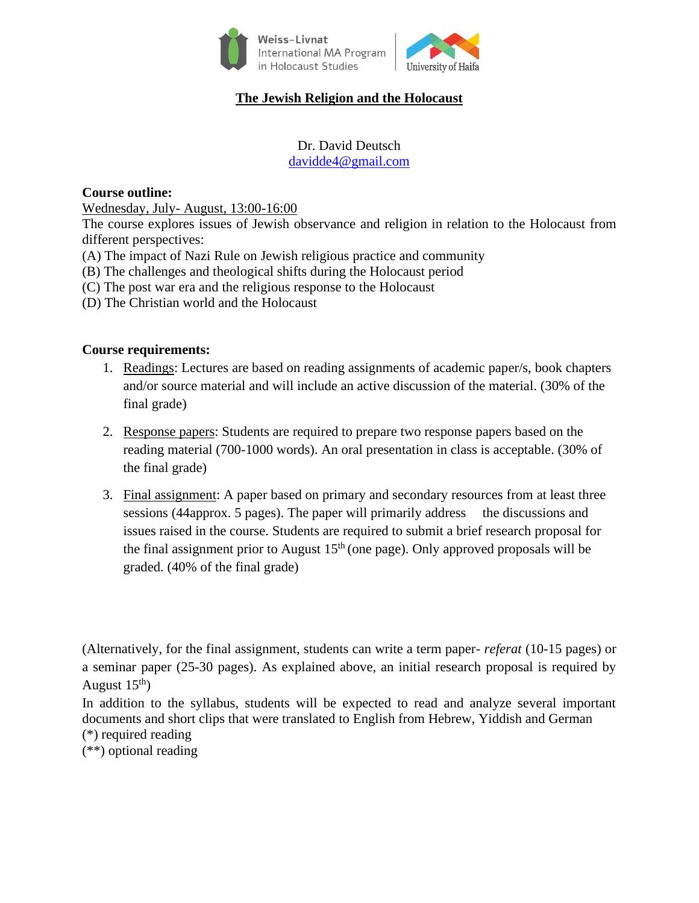

# **The Jewish Religion and the Holocaust**

Dr. David Deutsch [davidde4@gmail.com](mailto:davidde4@gmail.com)

#### **Course outline:**

Wednesday, July- August, 13:00-16:00

The course explores issues of Jewish observance and religion in relation to the Holocaust from different perspectives:

- (A) The impact of Nazi Rule on Jewish religious practice and community
- (B) The challenges and theological shifts during the Holocaust period
- (C) The post war era and the religious response to the Holocaust
- (D) The Christian world and the Holocaust

### **Course requirements:**

- 1. Readings: Lectures are based on reading assignments of academic paper/s, book chapters and/or source material and will include an active discussion of the material. (30% of the final grade)
- 2. Response papers: Students are required to prepare two response papers based on the reading material (700-1000 words). An oral presentation in class is acceptable. (30% of the final grade)
- 3. Final assignment: A paper based on primary and secondary resources from at least three sessions (44approx. 5 pages). The paper will primarily address the discussions and issues raised in the course. Students are required to submit a brief research proposal for the final assignment prior to August  $15<sup>th</sup>$  (one page). Only approved proposals will be graded. (40% of the final grade)

(Alternatively, for the final assignment, students can write a term paper- *referat* (10-15 pages) or a seminar paper (25-30 pages). As explained above, an initial research proposal is required by August  $15<sup>th</sup>$ )

In addition to the syllabus, students will be expected to read and analyze several important documents and short clips that were translated to English from Hebrew, Yiddish and German (\*) required reading

(\*\*) optional reading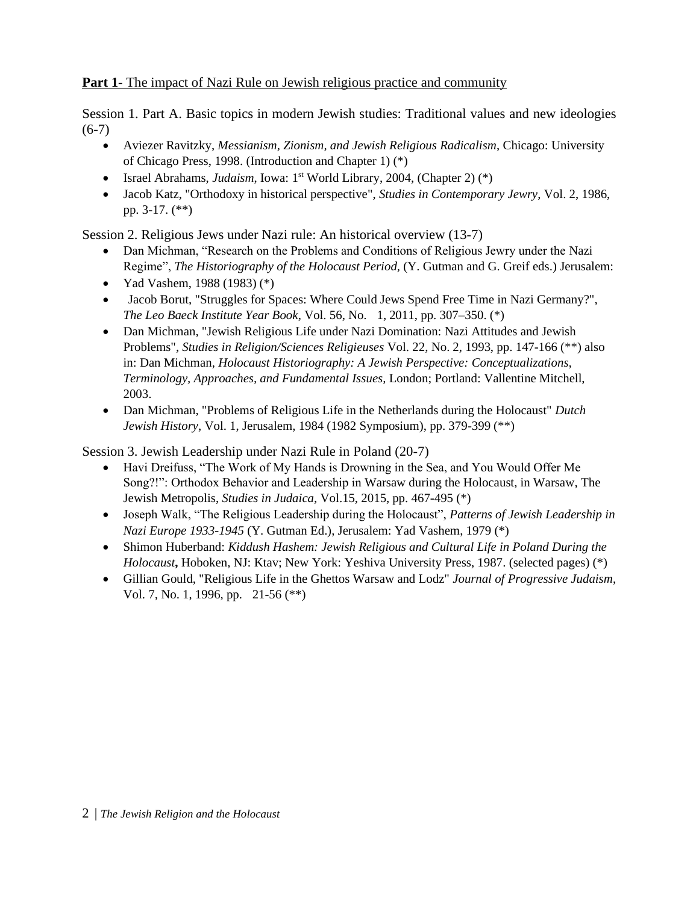## **Part 1**- The impact of Nazi Rule on Jewish religious practice and community

Session 1. Part A. Basic topics in modern Jewish studies: Traditional values and new ideologies  $(6-7)$ 

- Aviezer Ravitzky, *Messianism, Zionism, and Jewish Religious Radicalism*, Chicago: University of Chicago Press, 1998. (Introduction and Chapter 1) (\*)
- Israel Abrahams, *Judaism*, Iowa: 1<sup>st</sup> World Library, 2004, (Chapter 2) (\*)
- Jacob Katz, "Orthodoxy in historical perspective", *Studies in Contemporary Jewry*, Vol. 2, 1986, pp. 3-17. (\*\*)

Session 2. Religious Jews under Nazi rule: An historical overview (13-7)

- Dan Michman, "Research on the Problems and Conditions of Religious Jewry under the Nazi Regime", *The Historiography of the Holocaust Period,* (Y. Gutman and G. Greif eds.) Jerusalem:
- Yad Vashem, 1988 (1983) (\*)
- Jacob Borut, "Struggles for Spaces: Where Could Jews Spend Free Time in Nazi Germany?", *The Leo Baeck Institute Year Book*, Vol. 56, No. 1, 2011, pp. 307–350. (\*)
- Dan Michman, "Jewish Religious Life under Nazi Domination: Nazi Attitudes and Jewish Problems", *Studies in Religion/Sciences Religieuses* Vol. 22, No. 2, 1993, pp. 147-166 (\*\*) also in: Dan Michman, *Holocaust Historiography: A Jewish Perspective: Conceptualizations, Terminology, Approaches, and Fundamental Issues,* London; Portland: Vallentine Mitchell, 2003.
- Dan Michman, "Problems of Religious Life in the Netherlands during the Holocaust" *Dutch Jewish History*, Vol. 1, Jerusalem, 1984 (1982 Symposium), pp. 379-399 (\*\*)

Session 3. Jewish Leadership under Nazi Rule in Poland (20-7)

- Havi Dreifuss, "The Work of My Hands is Drowning in the Sea, and You Would Offer Me Song?!": Orthodox Behavior and Leadership in Warsaw during the Holocaust, in Warsaw, The Jewish Metropolis, *Studies in Judaica*, Vol.15, 2015, pp. 467-495 (\*)
- Joseph Walk, "The Religious Leadership during the Holocaust", *Patterns of Jewish Leadership in Nazi Europe 1933-1945* (Y. Gutman Ed.), Jerusalem: Yad Vashem, 1979 (\*)
- Shimon Huberband: *Kiddush Hashem: Jewish Religious and Cultural Life in Poland During the Holocaust***,** Hoboken, NJ: Ktav; New York: Yeshiva University Press, 1987. (selected pages) (\*)
- Gillian Gould, "Religious Life in the Ghettos Warsaw and Lodz" *Journal of Progressive Judaism*, Vol. 7, No. 1, 1996, pp. 21-56 (\*\*)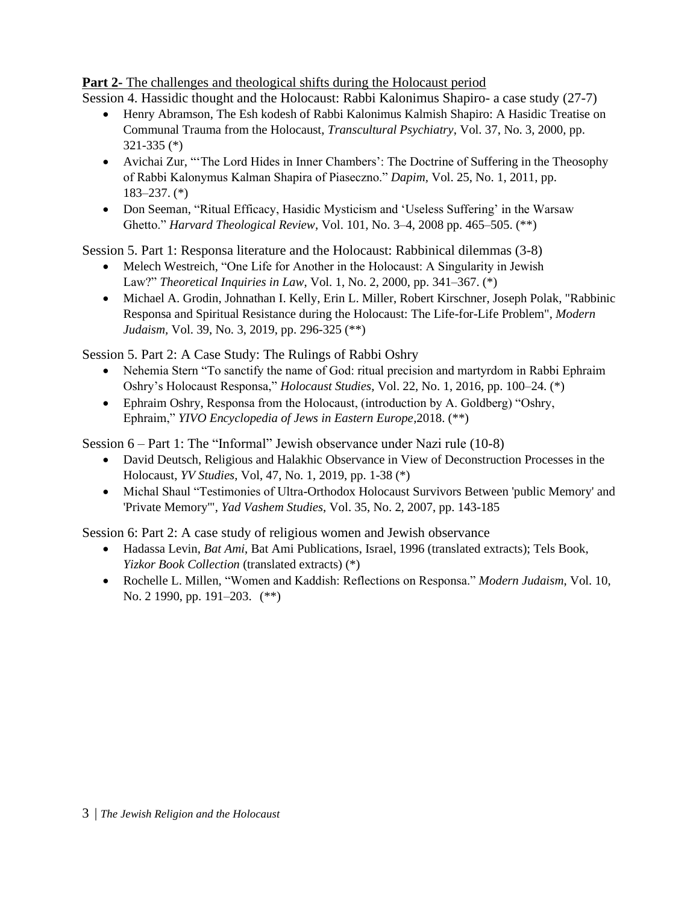## **Part 2-** The challenges and theological shifts during the Holocaust period

Session 4. Hassidic thought and the Holocaust: Rabbi Kalonimus Shapiro- a case study (27-7)

- Henry Abramson, The Esh kodesh of Rabbi Kalonimus Kalmish Shapiro: A Hasidic Treatise on Communal Trauma from the Holocaust, *Transcultural Psychiatry*, Vol. 37, No. 3, 2000, pp. 321-335 (\*)
- Avichai Zur, "'The Lord Hides in Inner Chambers': The Doctrine of Suffering in the Theosophy of Rabbi Kalonymus Kalman Shapira of Piaseczno." *Dapim,* Vol. 25, No. 1, 2011, pp. 183–237. (\*)
- Don Seeman, "Ritual Efficacy, Hasidic Mysticism and 'Useless Suffering' in the Warsaw Ghetto." *Harvard Theological Review*, Vol. 101, No. 3–4, 2008 pp. 465–505. (\*\*)

Session 5. Part 1: Responsa literature and the Holocaust: Rabbinical dilemmas (3-8)

- Melech Westreich, "One Life for Another in the Holocaust: A Singularity in Jewish Law?" *Theoretical Inquiries in Law*, Vol. 1, No. 2, 2000, pp. 341–367. (\*)
- Michael A. Grodin, Johnathan I. Kelly, Erin L. Miller, Robert Kirschner, Joseph Polak, "Rabbinic Responsa and Spiritual Resistance during the Holocaust: The Life-for-Life Problem", *Modern Judaism,* Vol. 39, No. 3, 2019, pp. 296-325 (\*\*)

Session 5. Part 2: A Case Study: The Rulings of Rabbi Oshry

- Nehemia Stern "To sanctify the name of God: ritual precision and martyrdom in Rabbi Ephraim Oshry's Holocaust Responsa," *Holocaust Studies*, Vol. 22, No. 1, 2016, pp. 100–24. (\*)
- Ephraim Oshry, Responsa from the Holocaust, (introduction by A. Goldberg) "Oshry, Ephraim," *YIVO Encyclopedia of Jews in Eastern Europe*,2018. (\*\*)

Session 6 – Part 1: The "Informal" Jewish observance under Nazi rule (10-8)

- David Deutsch, Religious and Halakhic Observance in View of Deconstruction Processes in the Holocaust, *YV Studies*, Vol, 47, No. 1, 2019, pp. 1-38 (\*)
- Michal Shaul "Testimonies of Ultra-Orthodox Holocaust Survivors Between 'public Memory' and 'Private Memory'", *Yad Vashem Studies*, Vol. 35, No. 2, 2007, pp. 143-185

Session 6: Part 2: A case study of religious women and Jewish observance

- Hadassa Levin, *Bat Ami*, Bat Ami Publications, Israel, 1996 (translated extracts); Tels Book, *Yizkor Book Collection* (translated extracts) (\*)
- Rochelle L. Millen, "Women and Kaddish: Reflections on Responsa." *Modern Judaism*, Vol. 10, No. 2 1990, pp. 191–203. (\*\*)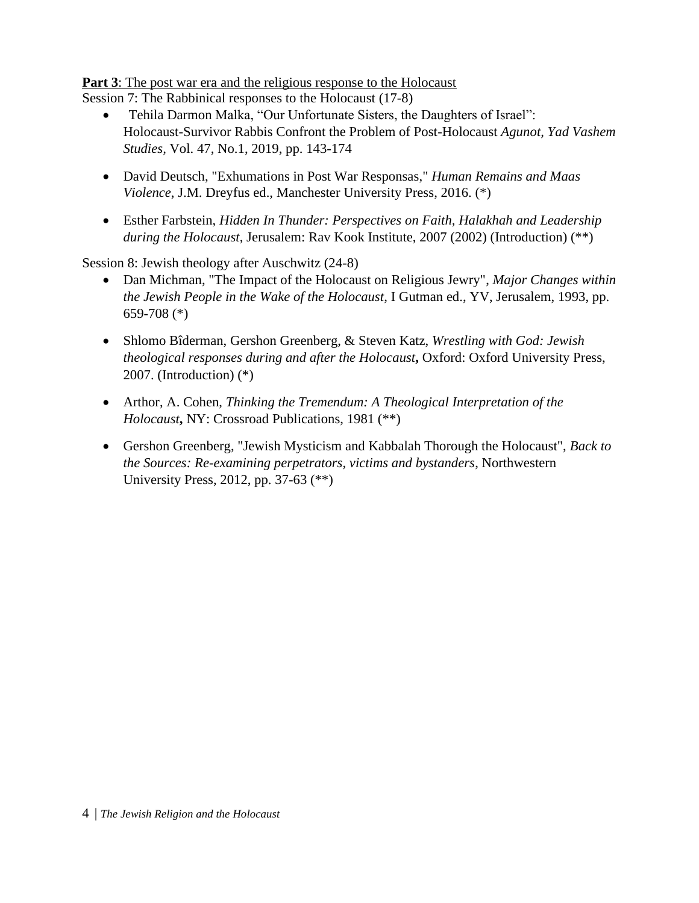**Part 3**: The post war era and the religious response to the Holocaust

Session 7: The Rabbinical responses to the Holocaust (17-8)

- Tehila Darmon Malka, "Our Unfortunate Sisters, the Daughters of Israel": Holocaust-Survivor Rabbis Confront the Problem of Post-Holocaust *Agunot, Yad Vashem Studies,* Vol. 47, No.1, 2019, pp. 143-174
- David Deutsch, "Exhumations in Post War Responsas," *Human Remains and Maas Violence*, J.M. Dreyfus ed., Manchester University Press, 2016. (\*)
- Esther Farbstein, *Hidden In Thunder: Perspectives on Faith, Halakhah and Leadership during the Holocaust*, Jerusalem: Rav Kook Institute, 2007 (2002) (Introduction) (\*\*)

Session 8: Jewish theology after Auschwitz (24-8)

- Dan Michman, "The Impact of the Holocaust on Religious Jewry", *Major Changes within the Jewish People in the Wake of the Holocaust*, I Gutman ed., YV, Jerusalem, 1993, pp. 659-708 (\*)
- Shlomo Bîderman, Gershon Greenberg, & Steven Katz, *Wrestling with God: Jewish theological responses during and after the Holocaust***,** Oxford: Oxford University Press, 2007. (Introduction) (\*)
- Arthor, A. Cohen, *Thinking the Tremendum: A Theological Interpretation of the Holocaust***,** NY: Crossroad Publications, 1981 (\*\*)
- Gershon Greenberg, "Jewish Mysticism and Kabbalah Thorough the Holocaust", *Back to the Sources: Re-examining perpetrators, victims and bystanders*, Northwestern University Press, 2012, pp. 37-63 (\*\*)